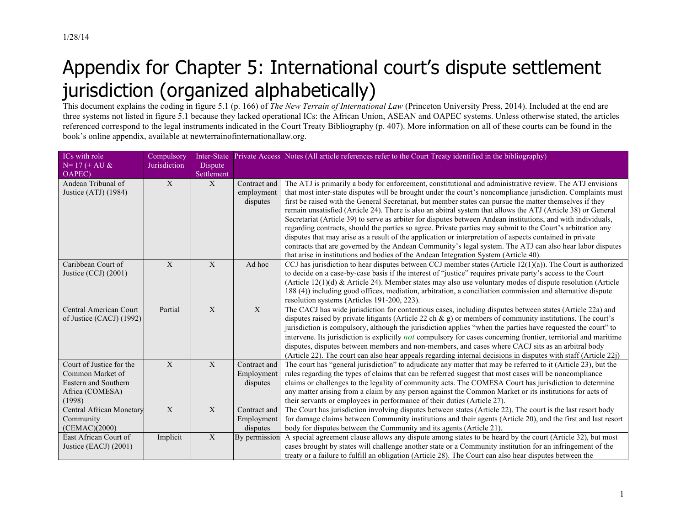## Appendix for Chapter 5: International court's dispute settlement jurisdiction (organized alphabetically)

This document explains the coding in figure 5.1 (p. 166) of *The New Terrain of International Law* (Princeton University Press, 2014). Included at the end are three systems not listed in figure 5.1 because they lacked operational ICs: the African Union, ASEAN and OAPEC systems. Unless otherwise stated, the articles referenced correspond to the legal instruments indicated in the Court Treaty Bibliography (p. 407). More information on all of these courts can be found in the book's online appendix, available at newterrainofinternationallaw.org.

| ICs with role            | Compulsory     | Inter-State    |               | Private Access Notes (All article references refer to the Court Treaty identified in the bibliography)                                                                                                               |
|--------------------------|----------------|----------------|---------------|----------------------------------------------------------------------------------------------------------------------------------------------------------------------------------------------------------------------|
| $N = 17 (+ AU &$         | Jurisdiction   | Dispute        |               |                                                                                                                                                                                                                      |
| OAPEC)                   |                | Settlement     |               |                                                                                                                                                                                                                      |
| Andean Tribunal of       | $\mathbf{X}$   | X              | Contract and  | The ATJ is primarily a body for enforcement, constitutional and administrative review. The ATJ envisions                                                                                                             |
| Justice (ATJ) (1984)     |                |                | employment    | that most inter-state disputes will be brought under the court's noncompliance jurisdiction. Complaints must                                                                                                         |
|                          |                |                | disputes      | first be raised with the General Secretariat, but member states can pursue the matter themselves if they                                                                                                             |
|                          |                |                |               | remain unsatisfied (Article 24). There is also an abitral system that allows the ATJ (Article 38) or General                                                                                                         |
|                          |                |                |               | Secretariat (Article 39) to serve as arbiter for disputes between Andean institutions, and with individuals,                                                                                                         |
|                          |                |                |               | regarding contracts, should the parties so agree. Private parties may submit to the Court's arbitration any                                                                                                          |
|                          |                |                |               | disputes that may arise as a result of the application or interpretation of aspects contained in private<br>contracts that are governed by the Andean Community's legal system. The ATJ can also hear labor disputes |
|                          |                |                |               | that arise in institutions and bodies of the Andean Integration System (Article 40).                                                                                                                                 |
| Caribbean Court of       | X              | X              | Ad hoc        | CCJ has jurisdiction to hear disputes between CCJ member states (Article $12(1)(a)$ ). The Court is authorized                                                                                                       |
| Justice (CCJ) (2001)     |                |                |               | to decide on a case-by-case basis if the interest of "justice" requires private party's access to the Court                                                                                                          |
|                          |                |                |               | (Article 12(1)(d) & Article 24). Member states may also use voluntary modes of dispute resolution (Article                                                                                                           |
|                          |                |                |               | 188 (4)) including good offices, mediation, arbitration, a conciliation commission and alternative dispute                                                                                                           |
|                          |                |                |               | resolution systems (Articles 191-200, 223).                                                                                                                                                                          |
| Central American Court   | Partial        | X              | X             | The CACJ has wide jurisdiction for contentious cases, including disputes between states (Article 22a) and                                                                                                            |
| of Justice (CACJ) (1992) |                |                |               | disputes raised by private litigants (Article 22 ch $\&$ g) or members of community institutions. The court's                                                                                                        |
|                          |                |                |               | jurisdiction is compulsory, although the jurisdiction applies "when the parties have requested the court" to                                                                                                         |
|                          |                |                |               | intervene. Its jurisdiction is explicitly not compulsory for cases concerning frontier, territorial and maritime                                                                                                     |
|                          |                |                |               | disputes, disputes between members and non-members, and cases where CACJ sits as an arbitral body                                                                                                                    |
|                          |                |                |               | (Article 22). The court can also hear appeals regarding internal decisions in disputes with staff (Article 22j)                                                                                                      |
| Court of Justice for the | $\mathbf{X}$   | X              | Contract and  | The court has "general jurisdiction" to adjudicate any matter that may be referred to it (Article 23), but the                                                                                                       |
| Common Market of         |                |                | Employment    | rules regarding the types of claims that can be referred suggest that most cases will be noncompliance                                                                                                               |
| Eastern and Southern     |                |                | disputes      | claims or challenges to the legality of community acts. The COMESA Court has jurisdiction to determine                                                                                                               |
| Africa (COMESA)          |                |                |               | any matter arising from a claim by any person against the Common Market or its institutions for acts of                                                                                                              |
| (1998)                   |                |                |               | their servants or employees in performance of their duties (Article 27).                                                                                                                                             |
| Central African Monetary | $\overline{X}$ | $\overline{X}$ | Contract and  | The Court has jurisdiction involving disputes between states (Article 22). The court is the last resort body                                                                                                         |
| Community                |                |                | Employment    | for damage claims between Community institutions and their agents (Article 20), and the first and last resort                                                                                                        |
| (CEMAC)(2000)            |                |                | disputes      | body for disputes between the Community and its agents (Article 21).                                                                                                                                                 |
| East African Court of    | Implicit       | X              | By permission | A special agreement clause allows any dispute among states to be heard by the court (Article 32), but most                                                                                                           |
| Justice (EACJ) (2001)    |                |                |               | cases brought by states will challenge another state or a Community institution for an infringement of the                                                                                                           |
|                          |                |                |               | treaty or a failure to fulfill an obligation (Article 28). The Court can also hear disputes between the                                                                                                              |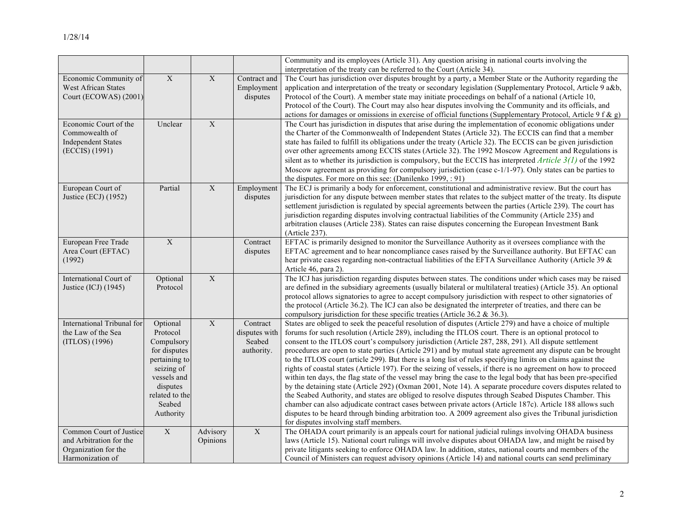|                                                                                                |                                                                                                                                                       |                         |                                                   | Community and its employees (Article 31). Any question arising in national courts involving the                                                                                                                                                                                                                                                                                                                                                                                                                                                                                                                                                                                                                                                                                                                                                                                                                                                                                                                                                                                                                                                                                                                                                                                             |
|------------------------------------------------------------------------------------------------|-------------------------------------------------------------------------------------------------------------------------------------------------------|-------------------------|---------------------------------------------------|---------------------------------------------------------------------------------------------------------------------------------------------------------------------------------------------------------------------------------------------------------------------------------------------------------------------------------------------------------------------------------------------------------------------------------------------------------------------------------------------------------------------------------------------------------------------------------------------------------------------------------------------------------------------------------------------------------------------------------------------------------------------------------------------------------------------------------------------------------------------------------------------------------------------------------------------------------------------------------------------------------------------------------------------------------------------------------------------------------------------------------------------------------------------------------------------------------------------------------------------------------------------------------------------|
|                                                                                                |                                                                                                                                                       |                         |                                                   | interpretation of the treaty can be referred to the Court (Article 34).                                                                                                                                                                                                                                                                                                                                                                                                                                                                                                                                                                                                                                                                                                                                                                                                                                                                                                                                                                                                                                                                                                                                                                                                                     |
| Economic Community of<br><b>West African States</b><br>Court (ECOWAS) (2001)                   | $\mathbf X$                                                                                                                                           | $\mathbf X$             | Contract and<br>Employment<br>disputes            | The Court has jurisdiction over disputes brought by a party, a Member State or the Authority regarding the<br>application and interpretation of the treaty or secondary legislation (Supplementary Protocol, Article 9 a&b,<br>Protocol of the Court). A member state may initiate proceedings on behalf of a national (Article 10,<br>Protocol of the Court). The Court may also hear disputes involving the Community and its officials, and<br>actions for damages or omissions in exercise of official functions (Supplementary Protocol, Article 9 f & g)                                                                                                                                                                                                                                                                                                                                                                                                                                                                                                                                                                                                                                                                                                                              |
| Economic Court of the<br>Commowealth of<br><b>Independent States</b><br>(ECCIS) (1991)         | Unclear                                                                                                                                               | $\overline{X}$          |                                                   | The Court has jurisdiction in disputes that arise during the implementation of economic obligations under<br>the Charter of the Commonwealth of Independent States (Article 32). The ECCIS can find that a member<br>state has failed to fulfill its obligations under the treaty (Article 32). The ECCIS can be given jurisdiction<br>over other agreements among ECCIS states (Article 32). The 1992 Moscow Agreement and Regulations is<br>silent as to whether its jurisdiction is compulsory, but the ECCIS has interpreted <i>Article</i> $3(1)$ of the 1992<br>Moscow agreement as providing for compulsory jurisdiction (case $c-1/1-97$ ). Only states can be parties to<br>the disputes. For more on this see: (Danilenko 1999, : 91)                                                                                                                                                                                                                                                                                                                                                                                                                                                                                                                                             |
| European Court of<br>Justice (ECJ) (1952)                                                      | Partial                                                                                                                                               | $\mathbf X$             | Employment<br>disputes                            | The ECJ is primarily a body for enforcement, constitutional and administrative review. But the court has<br>jurisdiction for any dispute between member states that relates to the subject matter of the treaty. Its dispute<br>settlement jurisdiction is regulated by special agreements between the parties (Article 239). The court has<br>jurisdiction regarding disputes involving contractual liabilities of the Community (Article 235) and<br>arbitration clauses (Article 238). States can raise disputes concerning the European Investment Bank<br>(Article 237).                                                                                                                                                                                                                                                                                                                                                                                                                                                                                                                                                                                                                                                                                                               |
| European Free Trade<br>Area Court (EFTAC)<br>(1992)                                            | $\overline{X}$                                                                                                                                        |                         | Contract<br>disputes                              | EFTAC is primarily designed to monitor the Surveillance Authority as it oversees compliance with the<br>EFTAC agreement and to hear noncompliance cases raised by the Surveillance authority. But EFTAC can<br>hear private cases regarding non-contractual liabilities of the EFTA Surveillance Authority (Article 39 &<br>Article 46, para 2).                                                                                                                                                                                                                                                                                                                                                                                                                                                                                                                                                                                                                                                                                                                                                                                                                                                                                                                                            |
| International Court of<br>Justice (ICJ) (1945)                                                 | Optional<br>Protocol                                                                                                                                  | $\overline{\textbf{X}}$ |                                                   | The ICJ has jurisdiction regarding disputes between states. The conditions under which cases may be raised<br>are defined in the subsidiary agreements (usually bilateral or multilateral treaties) (Article 35). An optional<br>protocol allows signatories to agree to accept compulsory jurisdiction with respect to other signatories of<br>the protocol (Article 36.2). The ICJ can also be designated the interpreter of treaties, and there can be<br>compulsory jurisdiction for these specific treaties (Article 36.2 & 36.3).                                                                                                                                                                                                                                                                                                                                                                                                                                                                                                                                                                                                                                                                                                                                                     |
| International Tribunal for<br>the Law of the Sea<br>(ITLOS) (1996)                             | Optional<br>Protocol<br>Compulsory<br>for disputes<br>pertaining to<br>seizing of<br>vessels and<br>disputes<br>related to the<br>Seabed<br>Authority | $\mathbf X$             | Contract<br>disputes with<br>Seabed<br>authority. | States are obliged to seek the peaceful resolution of disputes (Article 279) and have a choice of multiple<br>forums for such resolution (Article 289), including the ITLOS court. There is an optional protocol to<br>consent to the ITLOS court's compulsory jurisdiction (Article 287, 288, 291). All dispute settlement<br>procedures are open to state parties (Article 291) and by mutual state agreement any dispute can be brought<br>to the ITLOS court (article 299). But there is a long list of rules specifying limits on claims against the<br>rights of coastal states (Article 197). For the seizing of vessels, if there is no agreement on how to proceed<br>within ten days, the flag state of the vessel may bring the case to the legal body that has been pre-specified<br>by the detaining state (Article 292) (Oxman 2001, Note 14). A separate procedure covers disputes related to<br>the Seabed Authority, and states are obliged to resolve disputes through Seabed Disputes Chamber. This<br>chamber can also adjudicate contract cases between private actors (Article 187c). Article 188 allows such<br>disputes to be heard through binding arbitration too. A 2009 agreement also gives the Tribunal jurisdiction<br>for disputes involving staff members. |
| Common Court of Justice<br>and Arbitration for the<br>Organization for the<br>Harmonization of | $\overline{X}$                                                                                                                                        | Advisory<br>Opinions    | $\overline{X}$                                    | The OHADA court primarily is an appeals court for national judicial rulings involving OHADA business<br>laws (Article 15). National court rulings will involve disputes about OHADA law, and might be raised by<br>private litigants seeking to enforce OHADA law. In addition, states, national courts and members of the<br>Council of Ministers can request advisory opinions (Article 14) and national courts can send preliminary                                                                                                                                                                                                                                                                                                                                                                                                                                                                                                                                                                                                                                                                                                                                                                                                                                                      |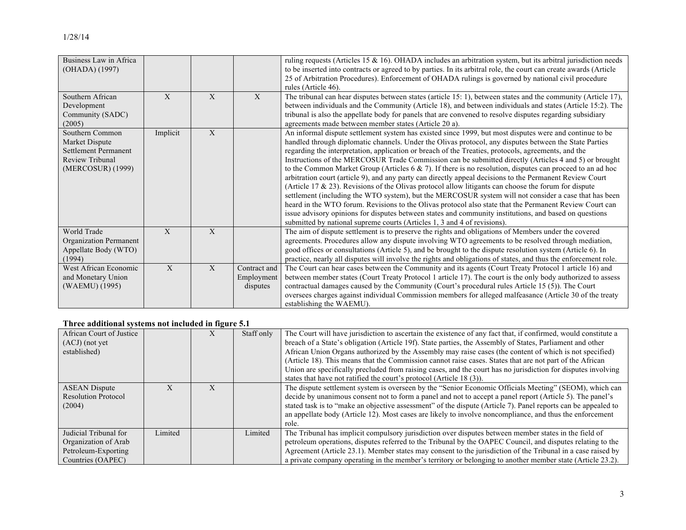| Business Law in Africa<br>(OHADA) (1997)                                                                 |              |             |                                        | ruling requests (Articles 15 & 16). OHADA includes an arbitration system, but its arbitral jurisdiction needs<br>to be inserted into contracts or agreed to by parties. In its arbitral role, the court can create awards (Article<br>25 of Arbitration Procedures). Enforcement of OHADA rulings is governed by national civil procedure<br>rules (Article 46).                                                                                                                                                                                                                                                                                                                                                                                                                                                                                                                                                                                                                                                                                                                                                                                                                    |
|----------------------------------------------------------------------------------------------------------|--------------|-------------|----------------------------------------|-------------------------------------------------------------------------------------------------------------------------------------------------------------------------------------------------------------------------------------------------------------------------------------------------------------------------------------------------------------------------------------------------------------------------------------------------------------------------------------------------------------------------------------------------------------------------------------------------------------------------------------------------------------------------------------------------------------------------------------------------------------------------------------------------------------------------------------------------------------------------------------------------------------------------------------------------------------------------------------------------------------------------------------------------------------------------------------------------------------------------------------------------------------------------------------|
| Southern African<br>Development<br>Community (SADC)<br>(2005)                                            | X            | $\mathbf X$ | $\mathbf{X}$                           | The tribunal can hear disputes between states (article 15: 1), between states and the community (Article 17),<br>between individuals and the Community (Article 18), and between individuals and states (Article 15:2). The<br>tribunal is also the appellate body for panels that are convened to resolve disputes regarding subsidiary<br>agreements made between member states (Article 20 a).                                                                                                                                                                                                                                                                                                                                                                                                                                                                                                                                                                                                                                                                                                                                                                                   |
| Southern Common<br>Market Dispute<br><b>Settlement Permanent</b><br>Review Tribunal<br>(MERCOSUR) (1999) | Implicit     | X           |                                        | An informal dispute settlement system has existed since 1999, but most disputes were and continue to be<br>handled through diplomatic channels. Under the Olivas protocol, any disputes between the State Parties<br>regarding the interpretation, application or breach of the Treaties, protocols, agreements, and the<br>Instructions of the MERCOSUR Trade Commission can be submitted directly (Articles 4 and 5) or brought<br>to the Common Market Group (Articles $6 \& 7$ ). If there is no resolution, disputes can proceed to an ad hoc<br>arbitration court (article 9), and any party can directly appeal decisions to the Permanent Review Court<br>(Article 17 $\&$ 23). Revisions of the Olivas protocol allow litigants can choose the forum for dispute<br>settlement (including the WTO system), but the MERCOSUR system will not consider a case that has been<br>heard in the WTO forum. Revisions to the Olivas protocol also state that the Permanent Review Court can<br>issue advisory opinions for disputes between states and community institutions, and based on questions<br>submitted by national supreme courts (Articles 1, 3 and 4 of revisions). |
| World Trade<br>Organization Permanent<br>Appellate Body (WTO)<br>(1994)                                  | X            | X           |                                        | The aim of dispute settlement is to preserve the rights and obligations of Members under the covered<br>agreements. Procedures allow any dispute involving WTO agreements to be resolved through mediation,<br>good offices or consultations (Article 5), and be brought to the dispute resolution system (Article 6). In<br>practice, nearly all disputes will involve the rights and obligations of states, and thus the enforcement role.                                                                                                                                                                                                                                                                                                                                                                                                                                                                                                                                                                                                                                                                                                                                        |
| West African Economic<br>and Monetary Union<br>(WAEMU) (1995)                                            | $\mathbf{X}$ | X           | Contract and<br>Employment<br>disputes | The Court can hear cases between the Community and its agents (Court Treaty Protocol 1 article 16) and<br>between member states (Court Treaty Protocol 1 article 17). The court is the only body authorized to assess<br>contractual damages caused by the Community (Court's procedural rules Article 15 (5)). The Court<br>oversees charges against individual Commission members for alleged malfeasance (Article 30 of the treaty<br>establishing the WAEMU).                                                                                                                                                                                                                                                                                                                                                                                                                                                                                                                                                                                                                                                                                                                   |

## **Three additional systems not included in figure 5.1**

| African Court of Justice<br>$(ACJ)$ (not yet<br>established)                              |         |   | Staff only | The Court will have jurisdiction to ascertain the existence of any fact that, if confirmed, would constitute a<br>breach of a State's obligation (Article 19f). State parties, the Assembly of States, Parliament and other<br>African Union Organs authorized by the Assembly may raise cases (the content of which is not specified)<br>(Article 18). This means that the Commission cannot raise cases. States that are not part of the African<br>Union are specifically precluded from raising cases, and the court has no jurisdiction for disputes involving<br>states that have not ratified the court's protocol (Article 18 (3)). |
|-------------------------------------------------------------------------------------------|---------|---|------------|---------------------------------------------------------------------------------------------------------------------------------------------------------------------------------------------------------------------------------------------------------------------------------------------------------------------------------------------------------------------------------------------------------------------------------------------------------------------------------------------------------------------------------------------------------------------------------------------------------------------------------------------|
| <b>ASEAN</b> Dispute<br><b>Resolution Protocol</b><br>(2004)                              |         | X |            | The dispute settlement system is overseen by the "Senior Economic Officials Meeting" (SEOM), which can<br>decide by unanimous consent not to form a panel and not to accept a panel report (Article 5). The panel's<br>stated task is to "make an objective assessment" of the dispute (Article 7). Panel reports can be appealed to<br>an appellate body (Article 12). Most cases are likely to involve noncompliance, and thus the enforcement<br>role.                                                                                                                                                                                   |
| Judicial Tribunal for<br>Organization of Arab<br>Petroleum-Exporting<br>Countries (OAPEC) | Limited |   | Limited    | The Tribunal has implicit compulsory jurisdiction over disputes between member states in the field of<br>petroleum operations, disputes referred to the Tribunal by the OAPEC Council, and disputes relating to the<br>Agreement (Article 23.1). Member states may consent to the jurisdiction of the Tribunal in a case raised by<br>a private company operating in the member's territory or belonging to another member state (Article 23.2).                                                                                                                                                                                            |